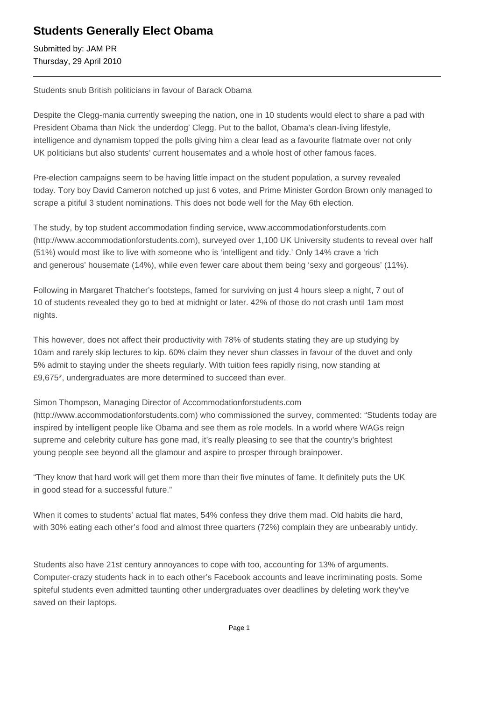## **Students Generally Elect Obama**

Submitted by: JAM PR Thursday, 29 April 2010

Students snub British politicians in favour of Barack Obama

Despite the Clegg-mania currently sweeping the nation, one in 10 students would elect to share a pad with President Obama than Nick 'the underdog' Clegg. Put to the ballot, Obama's clean-living lifestyle, intelligence and dynamism topped the polls giving him a clear lead as a favourite flatmate over not only UK politicians but also students' current housemates and a whole host of other famous faces.

Pre-election campaigns seem to be having little impact on the student population, a survey revealed today. Tory boy David Cameron notched up just 6 votes, and Prime Minister Gordon Brown only managed to scrape a pitiful 3 student nominations. This does not bode well for the May 6th election.

The study, by top student accommodation finding service, www.accommodationforstudents.com (http://www.accommodationforstudents.com), surveyed over 1,100 UK University students to reveal over half (51%) would most like to live with someone who is 'intelligent and tidy.' Only 14% crave a 'rich and generous' housemate (14%), while even fewer care about them being 'sexy and gorgeous' (11%).

Following in Margaret Thatcher's footsteps, famed for surviving on just 4 hours sleep a night, 7 out of 10 of students revealed they go to bed at midnight or later. 42% of those do not crash until 1am most nights.

This however, does not affect their productivity with 78% of students stating they are up studying by 10am and rarely skip lectures to kip. 60% claim they never shun classes in favour of the duvet and only 5% admit to staying under the sheets regularly. With tuition fees rapidly rising, now standing at £9,675\*, undergraduates are more determined to succeed than ever.

Simon Thompson, Managing Director of Accommodationforstudents.com

(http://www.accommodationforstudents.com) who commissioned the survey, commented: "Students today are inspired by intelligent people like Obama and see them as role models. In a world where WAGs reign supreme and celebrity culture has gone mad, it's really pleasing to see that the country's brightest young people see beyond all the glamour and aspire to prosper through brainpower.

"They know that hard work will get them more than their five minutes of fame. It definitely puts the UK in good stead for a successful future."

When it comes to students' actual flat mates, 54% confess they drive them mad. Old habits die hard, with 30% eating each other's food and almost three quarters (72%) complain they are unbearably untidy.

Students also have 21st century annoyances to cope with too, accounting for 13% of arguments. Computer-crazy students hack in to each other's Facebook accounts and leave incriminating posts. Some spiteful students even admitted taunting other undergraduates over deadlines by deleting work they've saved on their laptops.